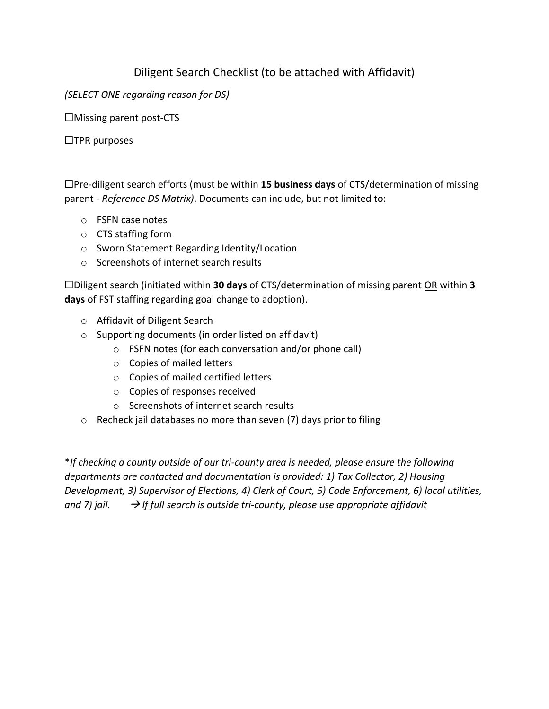## Diligent Search Checklist (to be attached with Affidavit)

*(SELECT ONE regarding reason for DS)*

☐Missing parent post-CTS

☐TPR purposes

☐Pre-diligent search efforts (must be within **15 business days** of CTS/determination of missing parent - *Reference DS Matrix)*. Documents can include, but not limited to:

- o FSFN case notes
- o CTS staffing form
- o Sworn Statement Regarding Identity/Location
- o Screenshots of internet search results

☐Diligent search (initiated within **30 days** of CTS/determination of missing parent OR within **3 days** of FST staffing regarding goal change to adoption).

- o Affidavit of Diligent Search
- o Supporting documents (in order listed on affidavit)
	- o FSFN notes (for each conversation and/or phone call)
	- o Copies of mailed letters
	- o Copies of mailed certified letters
	- o Copies of responses received
	- o Screenshots of internet search results
- o Recheck jail databases no more than seven (7) days prior to filing

\**If checking a county outside of our tri-county area is needed, please ensure the following departments are contacted and documentation is provided: 1) Tax Collector, 2) Housing Development, 3) Supervisor of Elections, 4) Clerk of Court, 5) Code Enforcement, 6) local utilities, and 7) jail.* → *If full search is outside tri-county, please use appropriate affidavit*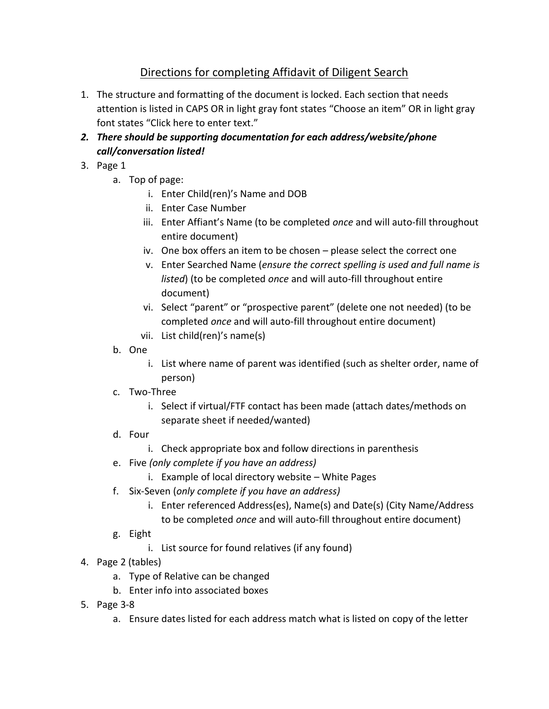## Directions for completing Affidavit of Diligent Search

- 1. The structure and formatting of the document is locked. Each section that needs attention is listed in CAPS OR in light gray font states "Choose an item" OR in light gray font states "Click here to enter text."
- *2. There should be supporting documentation for each address/website/phone call/conversation listed!*
- 3. Page 1
	- a. Top of page:
		- i. Enter Child(ren)'s Name and DOB
		- ii. Enter Case Number
		- iii. Enter Affiant's Name (to be completed *once* and will auto-fill throughout entire document)
		- iv. One box offers an item to be chosen please select the correct one
		- v. Enter Searched Name (*ensure the correct spelling is used and full name is listed*) (to be completed *once* and will auto-fill throughout entire document)
		- vi. Select "parent" or "prospective parent" (delete one not needed) (to be completed *once* and will auto-fill throughout entire document)
		- vii. List child(ren)'s name(s)
	- b. One
		- i. List where name of parent was identified (such as shelter order, name of person)
	- c. Two-Three
		- i. Select if virtual/FTF contact has been made (attach dates/methods on separate sheet if needed/wanted)
	- d. Four
		- i. Check appropriate box and follow directions in parenthesis
	- e. Five *(only complete if you have an address)*
		- i. Example of local directory website White Pages
	- f. Six-Seven (*only complete if you have an address)*
		- i. Enter referenced Address(es), Name(s) and Date(s) (City Name/Address to be completed *once* and will auto-fill throughout entire document)
	- g. Eight
		- i. List source for found relatives (if any found)
- 4. Page 2 (tables)
	- a. Type of Relative can be changed
	- b. Enter info into associated boxes
- 5. Page 3-8
	- a. Ensure dates listed for each address match what is listed on copy of the letter